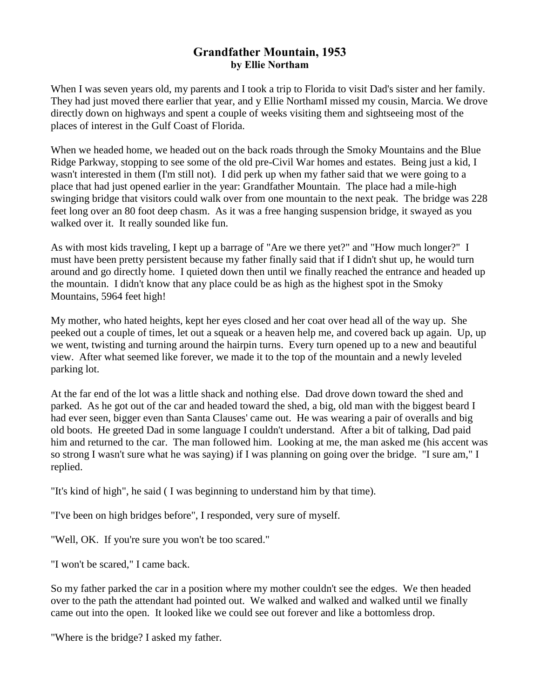## **Grandfather Mountain, 1953 by Ellie Northam**

When I was seven years old, my parents and I took a trip to Florida to visit Dad's sister and her family. They had just moved there earlier that year, and y Ellie NorthamI missed my cousin, Marcia. We drove directly down on highways and spent a couple of weeks visiting them and sightseeing most of the places of interest in the Gulf Coast of Florida.

When we headed home, we headed out on the back roads through the Smoky Mountains and the Blue Ridge Parkway, stopping to see some of the old pre-Civil War homes and estates. Being just a kid, I wasn't interested in them (I'm still not). I did perk up when my father said that we were going to a place that had just opened earlier in the year: Grandfather Mountain. The place had a mile-high swinging bridge that visitors could walk over from one mountain to the next peak. The bridge was 228 feet long over an 80 foot deep chasm. As it was a free hanging suspension bridge, it swayed as you walked over it. It really sounded like fun.

As with most kids traveling, I kept up a barrage of "Are we there yet?" and "How much longer?" I must have been pretty persistent because my father finally said that if I didn't shut up, he would turn around and go directly home. I quieted down then until we finally reached the entrance and headed up the mountain. I didn't know that any place could be as high as the highest spot in the Smoky Mountains, 5964 feet high!

My mother, who hated heights, kept her eyes closed and her coat over head all of the way up. She peeked out a couple of times, let out a squeak or a heaven help me, and covered back up again. Up, up we went, twisting and turning around the hairpin turns. Every turn opened up to a new and beautiful view. After what seemed like forever, we made it to the top of the mountain and a newly leveled parking lot.

At the far end of the lot was a little shack and nothing else. Dad drove down toward the shed and parked. As he got out of the car and headed toward the shed, a big, old man with the biggest beard I had ever seen, bigger even than Santa Clauses' came out. He was wearing a pair of overalls and big old boots. He greeted Dad in some language I couldn't understand. After a bit of talking, Dad paid him and returned to the car. The man followed him. Looking at me, the man asked me (his accent was so strong I wasn't sure what he was saying) if I was planning on going over the bridge. "I sure am," I replied.

"It's kind of high", he said ( I was beginning to understand him by that time).

"I've been on high bridges before", I responded, very sure of myself.

"Well, OK. If you're sure you won't be too scared."

"I won't be scared," I came back.

So my father parked the car in a position where my mother couldn't see the edges. We then headed over to the path the attendant had pointed out. We walked and walked and walked until we finally came out into the open. It looked like we could see out forever and like a bottomless drop.

"Where is the bridge? I asked my father.